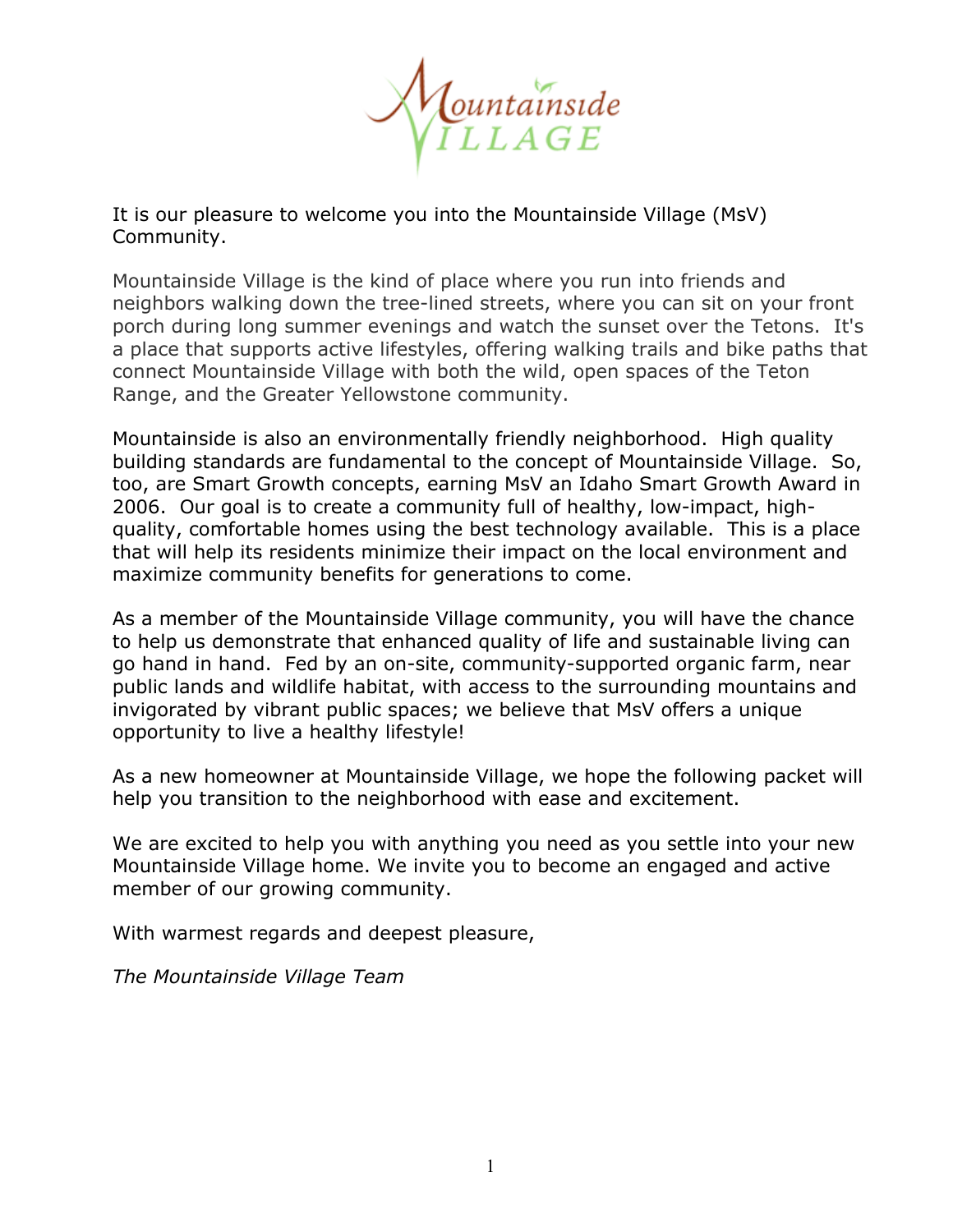

It is our pleasure to welcome you into the Mountainside Village (MsV) Community.

Mountainside Village is the kind of place where you run into friends and neighbors walking down the tree-lined streets, where you can sit on your front porch during long summer evenings and watch the sunset over the Tetons. It's a place that supports active lifestyles, offering walking trails and bike paths that connect Mountainside Village with both the wild, open spaces of the Teton Range, and the Greater Yellowstone community.

Mountainside is also an environmentally friendly neighborhood. High quality building standards are fundamental to the concept of Mountainside Village. So, too, are Smart Growth concepts, earning MsV an Idaho Smart Growth Award in 2006. Our goal is to create a community full of healthy, low-impact, highquality, comfortable homes using the best technology available. This is a place that will help its residents minimize their impact on the local environment and maximize community benefits for generations to come.

As a member of the Mountainside Village community, you will have the chance to help us demonstrate that enhanced quality of life and sustainable living can go hand in hand. Fed by an on-site, community-supported organic farm, near public lands and wildlife habitat, with access to the surrounding mountains and invigorated by vibrant public spaces; we believe that MsV offers a unique opportunity to live a healthy lifestyle!

As a new homeowner at Mountainside Village, we hope the following packet will help you transition to the neighborhood with ease and excitement.

We are excited to help you with anything you need as you settle into your new Mountainside Village home. We invite you to become an engaged and active member of our growing community.

With warmest regards and deepest pleasure,

*The Mountainside Village Team*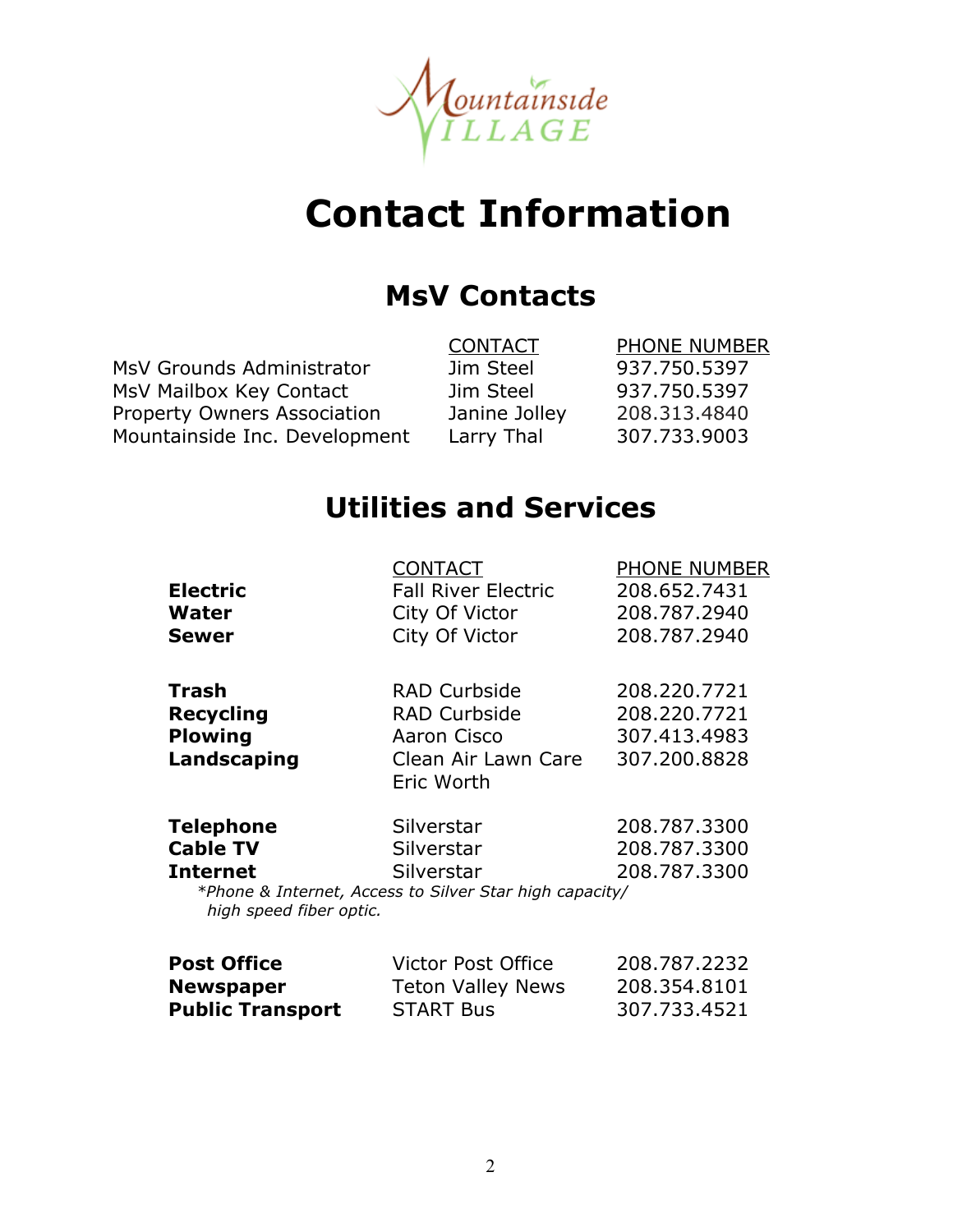

# **Contact Information**

# **MsV Contacts**

MsV Grounds Administrator Jim Steel 937.750.5397 MsV Mailbox Key Contact Jim Steel 937.750.5397 Property Owners Association Janine Jolley 208.313.4840 Mountainside Inc. Development Larry Thal 307.733.9003

CONTACT PHONE NUMBER

# **Utilities and Services**

|                         | <b>CONTACT</b>                                          | <b>PHONE NUMBER</b> |
|-------------------------|---------------------------------------------------------|---------------------|
| <b>Electric</b>         | <b>Fall River Electric</b>                              | 208,652,7431        |
| Water                   | City Of Victor                                          | 208.787.2940        |
| <b>Sewer</b>            | City Of Victor                                          | 208,787,2940        |
| Trash                   | <b>RAD Curbside</b>                                     | 208.220.7721        |
| <b>Recycling</b>        | <b>RAD Curbside</b>                                     | 208.220.7721        |
| <b>Plowing</b>          | Aaron Cisco                                             | 307.413.4983        |
| Landscaping             | Clean Air Lawn Care<br>Eric Worth                       | 307.200.8828        |
| <b>Telephone</b>        | Silverstar                                              | 208,787,3300        |
| <b>Cable TV</b>         | Silverstar                                              | 208,787,3300        |
| <b>Internet</b>         | Silverstar                                              | 208,787,3300        |
| high speed fiber optic. | *Phone & Internet, Access to Silver Star high capacity/ |                     |
| <b>Post Office</b>      | Victor Post Office                                      | 208.787.2232        |
| <b>Newspaper</b>        | <b>Teton Valley News</b>                                | 208.354.8101        |

**Public Transport** START Bus 307.733.4521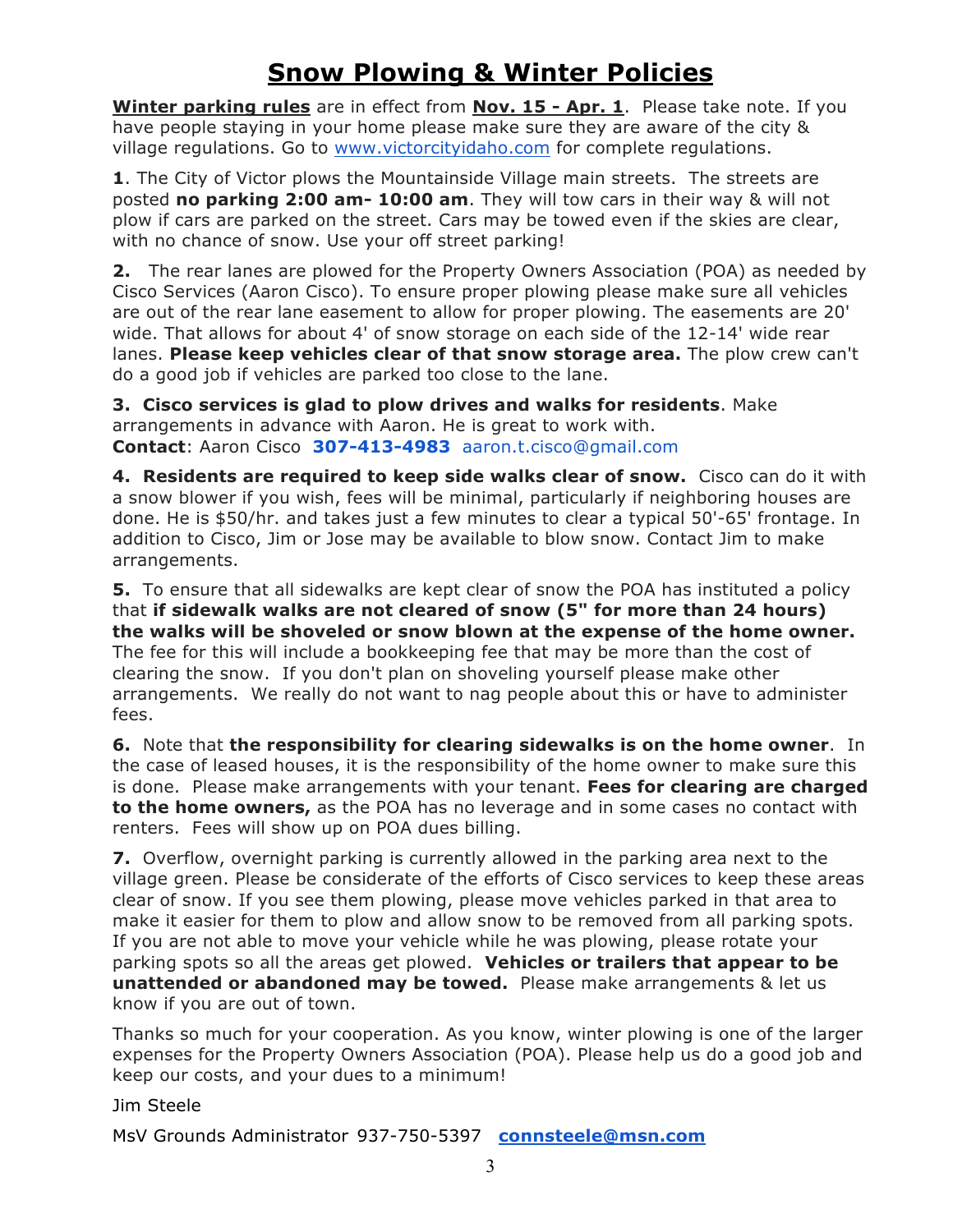# **Snow Plowing & Winter Policies**

**Winter parking rules** are in effect from **Nov. 15 - Apr. 1**. Please take note. If you have people staying in your home please make sure they are aware of the city & village regulations. Go to www.victorcityidaho.com for complete regulations.

**1**. The City of Victor plows the Mountainside Village main streets. The streets are posted **no parking 2:00 am- 10:00 am**. They will tow cars in their way & will not plow if cars are parked on the street. Cars may be towed even if the skies are clear, with no chance of snow. Use your off street parking!

**2.** The rear lanes are plowed for the Property Owners Association (POA) as needed by Cisco Services (Aaron Cisco). To ensure proper plowing please make sure all vehicles are out of the rear lane easement to allow for proper plowing. The easements are 20' wide. That allows for about 4' of snow storage on each side of the 12-14' wide rear lanes. **Please keep vehicles clear of that snow storage area.** The plow crew can't do a good job if vehicles are parked too close to the lane.

**3. Cisco services is glad to plow drives and walks for residents**. Make arrangements in advance with Aaron. He is great to work with. **Contact**: Aaron Cisco **307-413-4983** aaron.t.cisco@gmail.com

**4. Residents are required to keep side walks clear of snow.** Cisco can do it with a snow blower if you wish, fees will be minimal, particularly if neighboring houses are done. He is \$50/hr. and takes just a few minutes to clear a typical 50'-65' frontage. In addition to Cisco, Jim or Jose may be available to blow snow. Contact Jim to make arrangements.

**5.** To ensure that all sidewalks are kept clear of snow the POA has instituted a policy that **if sidewalk walks are not cleared of snow (5" for more than 24 hours) the walks will be shoveled or snow blown at the expense of the home owner.**  The fee for this will include a bookkeeping fee that may be more than the cost of clearing the snow. If you don't plan on shoveling yourself please make other arrangements. We really do not want to nag people about this or have to administer fees.

**6.** Note that **the responsibility for clearing sidewalks is on the home owner**. In the case of leased houses, it is the responsibility of the home owner to make sure this is done. Please make arrangements with your tenant. **Fees for clearing are charged to the home owners,** as the POA has no leverage and in some cases no contact with renters. Fees will show up on POA dues billing.

**7.** Overflow, overnight parking is currently allowed in the parking area next to the village green. Please be considerate of the efforts of Cisco services to keep these areas clear of snow. If you see them plowing, please move vehicles parked in that area to make it easier for them to plow and allow snow to be removed from all parking spots. If you are not able to move your vehicle while he was plowing, please rotate your parking spots so all the areas get plowed. **Vehicles or trailers that appear to be unattended or abandoned may be towed.** Please make arrangements & let us know if you are out of town.

Thanks so much for your cooperation. As you know, winter plowing is one of the larger expenses for the Property Owners Association (POA). Please help us do a good job and keep our costs, and your dues to a minimum!

Jim Steele

MsV Grounds Administrator 937-750-5397 **connsteele@msn.com**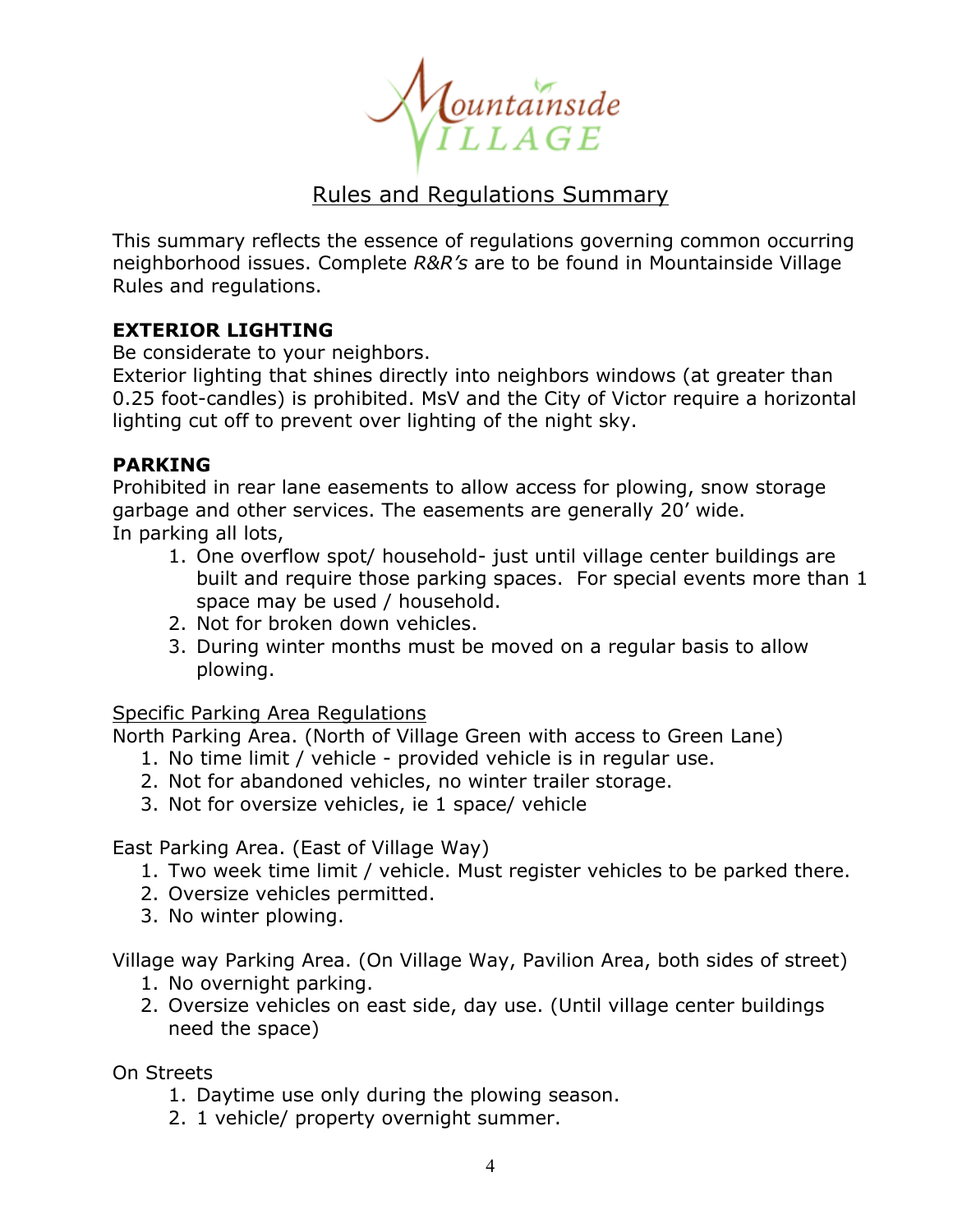Lountainside<br>ILLAGE

## Rules and Regulations Summary

This summary reflects the essence of regulations governing common occurring neighborhood issues. Complete *R&R's* are to be found in Mountainside Village Rules and regulations.

### **EXTERIOR LIGHTING**

Be considerate to your neighbors.

Exterior lighting that shines directly into neighbors windows (at greater than 0.25 foot-candles) is prohibited. MsV and the City of Victor require a horizontal lighting cut off to prevent over lighting of the night sky.

### **PARKING**

Prohibited in rear lane easements to allow access for plowing, snow storage garbage and other services. The easements are generally 20' wide. In parking all lots,

- 1. One overflow spot/ household- just until village center buildings are built and require those parking spaces. For special events more than 1 space may be used / household.
- 2. Not for broken down vehicles.
- 3. During winter months must be moved on a regular basis to allow plowing.

### Specific Parking Area Regulations

North Parking Area. (North of Village Green with access to Green Lane)

- 1. No time limit / vehicle provided vehicle is in regular use.
- 2. Not for abandoned vehicles, no winter trailer storage.
- 3. Not for oversize vehicles, ie 1 space/ vehicle

East Parking Area. (East of Village Way)

- 1. Two week time limit / vehicle. Must register vehicles to be parked there.
- 2. Oversize vehicles permitted.
- 3. No winter plowing.

Village way Parking Area. (On Village Way, Pavilion Area, both sides of street)

- 1. No overnight parking.
- 2. Oversize vehicles on east side, day use. (Until village center buildings need the space)

On Streets

- 1. Daytime use only during the plowing season.
- 2. 1 vehicle/ property overnight summer.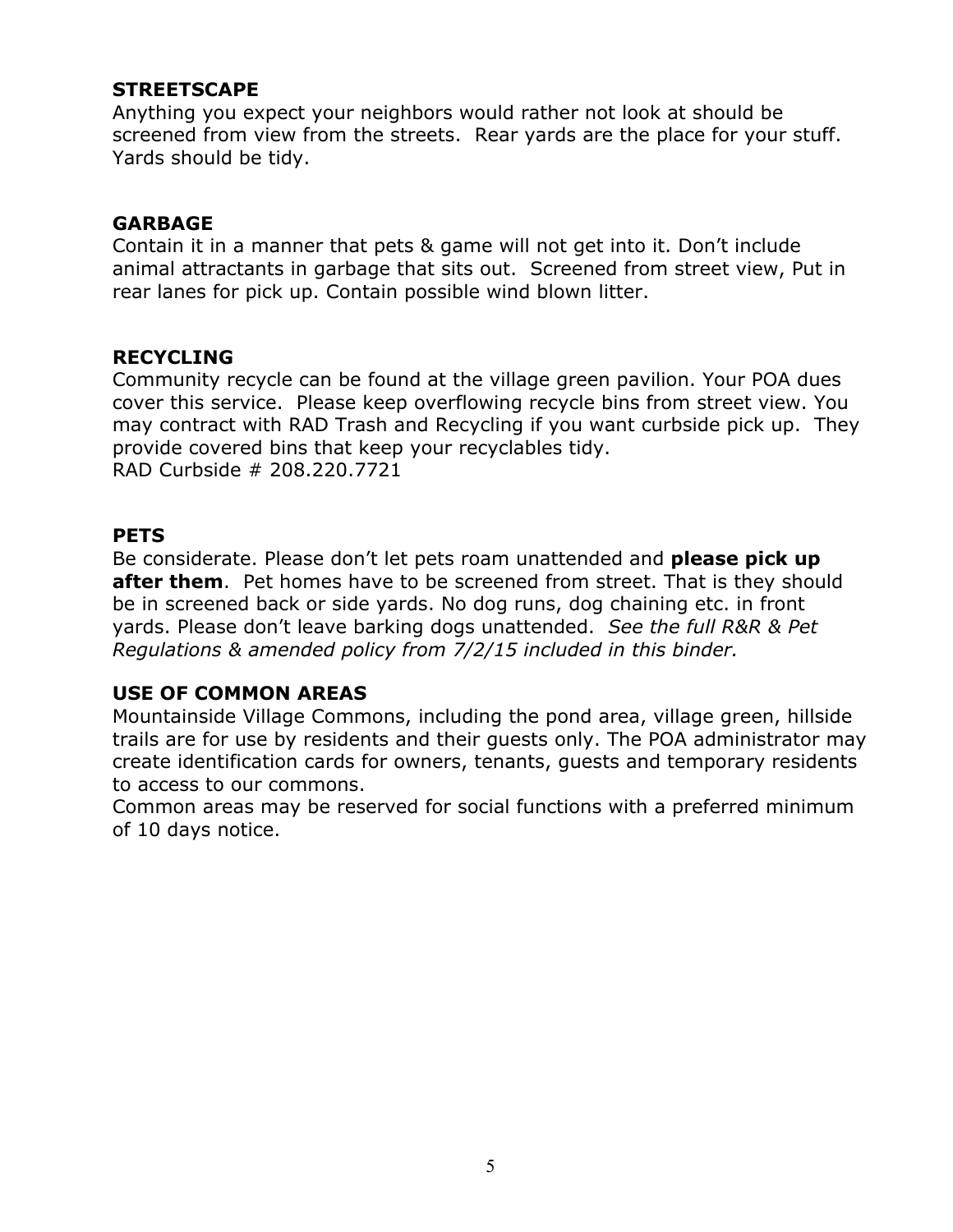### **STREETSCAPE**

Anything you expect your neighbors would rather not look at should be screened from view from the streets. Rear yards are the place for your stuff. Yards should be tidy.

#### **GARBAGE**

Contain it in a manner that pets & game will not get into it. Don't include animal attractants in garbage that sits out. Screened from street view, Put in rear lanes for pick up. Contain possible wind blown litter.

#### **RECYCLING**

Community recycle can be found at the village green pavilion. Your POA dues cover this service. Please keep overflowing recycle bins from street view. You may contract with RAD Trash and Recycling if you want curbside pick up. They provide covered bins that keep your recyclables tidy. RAD Curbside # 208.220.7721

#### **PETS**

Be considerate. Please don't let pets roam unattended and **please pick up after them**. Pet homes have to be screened from street. That is they should be in screened back or side yards. No dog runs, dog chaining etc. in front yards. Please don't leave barking dogs unattended. *See the full R&R & Pet Regulations & amended policy from 7/2/15 included in this binder.*

### **USE OF COMMON AREAS**

Mountainside Village Commons, including the pond area, village green, hillside trails are for use by residents and their guests only. The POA administrator may create identification cards for owners, tenants, guests and temporary residents to access to our commons.

Common areas may be reserved for social functions with a preferred minimum of 10 days notice.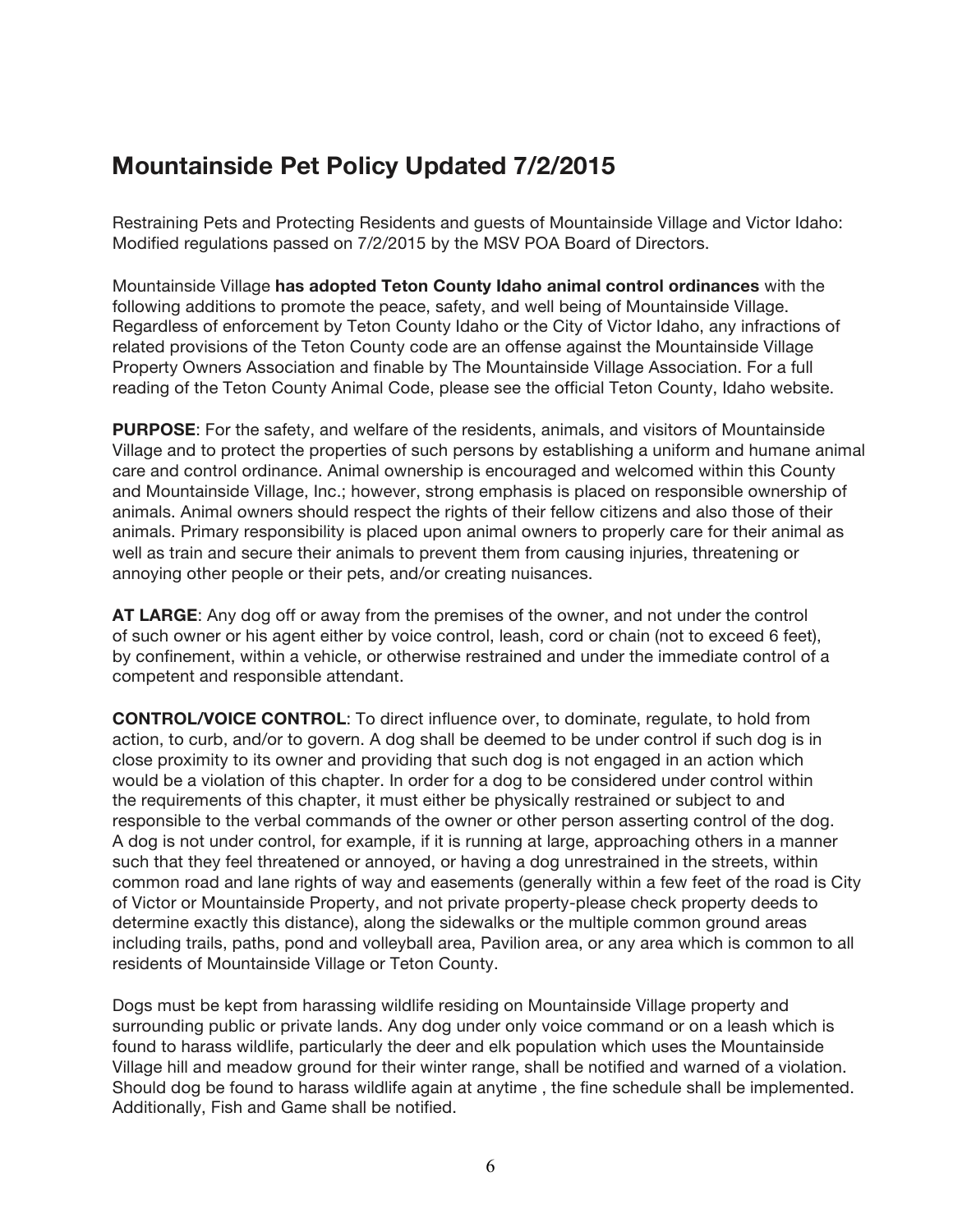# **Mountainside Pet Policy Updated 7/2/2015**

Restraining Pets and Protecting Residents and guests of Mountainside Village and Victor Idaho: Modified regulations passed on 7/2/2015 by the MSV POA Board of Directors.

Mountainside Village **has adopted Teton County Idaho animal control ordinances** with the following additions to promote the peace, safety, and well being of Mountainside Village. Regardless of enforcement by Teton County Idaho or the City of Victor Idaho, any infractions of related provisions of the Teton County code are an offense against the Mountainside Village Property Owners Association and finable by The Mountainside Village Association. For a full reading of the Teton County Animal Code, please see the official Teton County, Idaho website.

**PURPOSE**: For the safety, and welfare of the residents, animals, and visitors of Mountainside Village and to protect the properties of such persons by establishing a uniform and humane animal care and control ordinance. Animal ownership is encouraged and welcomed within this County and Mountainside Village, Inc.; however, strong emphasis is placed on responsible ownership of animals. Animal owners should respect the rights of their fellow citizens and also those of their animals. Primary responsibility is placed upon animal owners to properly care for their animal as well as train and secure their animals to prevent them from causing injuries, threatening or annoying other people or their pets, and/or creating nuisances.

**AT LARGE**: Any dog off or away from the premises of the owner, and not under the control of such owner or his agent either by voice control, leash, cord or chain (not to exceed 6 feet), by confinement, within a vehicle, or otherwise restrained and under the immediate control of a competent and responsible attendant.

**CONTROL/VOICE CONTROL**: To direct influence over, to dominate, regulate, to hold from action, to curb, and/or to govern. A dog shall be deemed to be under control if such dog is in close proximity to its owner and providing that such dog is not engaged in an action which would be a violation of this chapter. In order for a dog to be considered under control within the requirements of this chapter, it must either be physically restrained or subject to and responsible to the verbal commands of the owner or other person asserting control of the dog. A dog is not under control, for example, if it is running at large, approaching others in a manner such that they feel threatened or annoyed, or having a dog unrestrained in the streets, within common road and lane rights of way and easements (generally within a few feet of the road is City of Victor or Mountainside Property, and not private property-please check property deeds to determine exactly this distance), along the sidewalks or the multiple common ground areas including trails, paths, pond and volleyball area, Pavilion area, or any area which is common to all residents of Mountainside Village or Teton County.

Dogs must be kept from harassing wildlife residing on Mountainside Village property and surrounding public or private lands. Any dog under only voice command or on a leash which is found to harass wildlife, particularly the deer and elk population which uses the Mountainside Village hill and meadow ground for their winter range, shall be notified and warned of a violation. Should dog be found to harass wildlife again at anytime , the fine schedule shall be implemented. Additionally, Fish and Game shall be notified.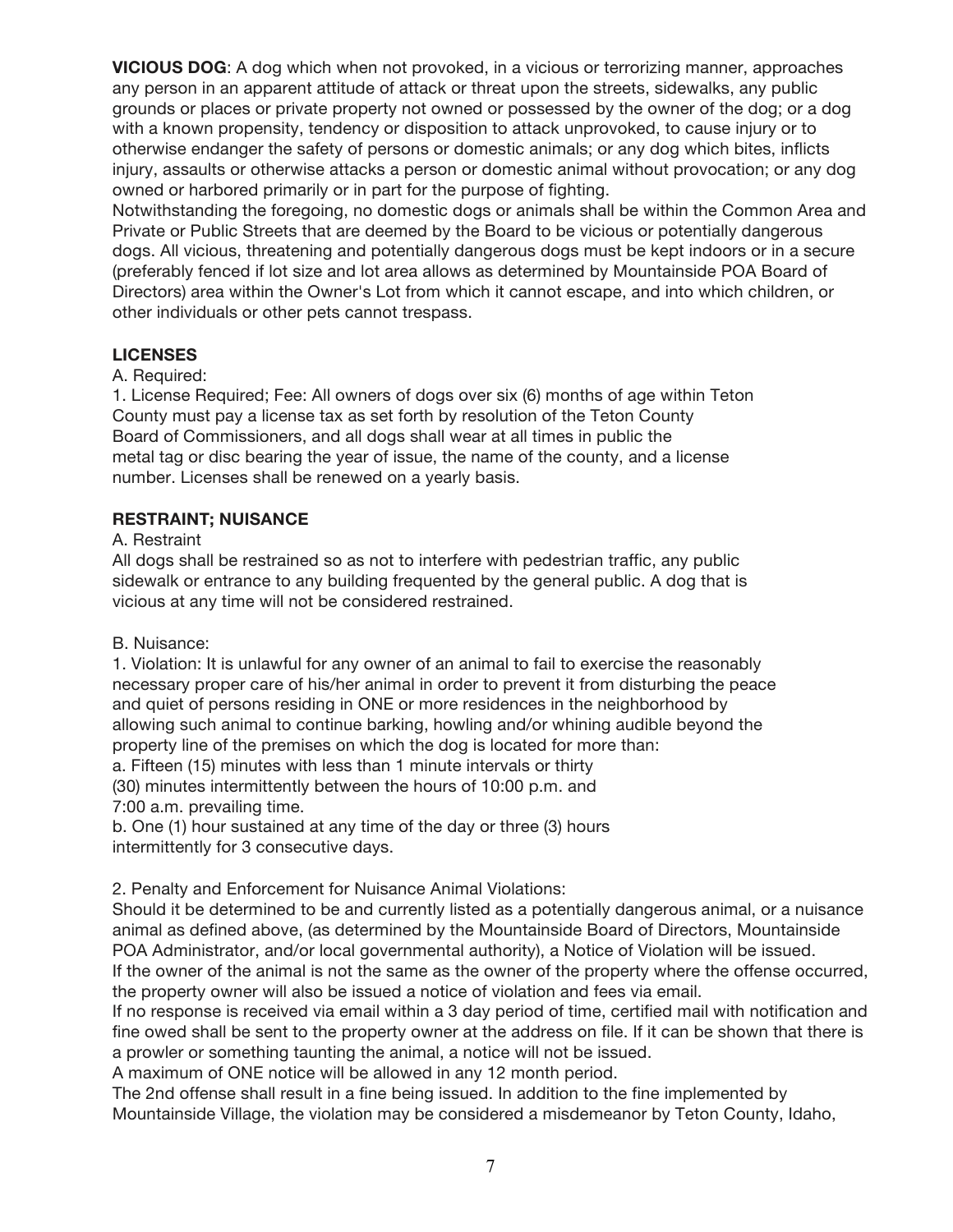**VICIOUS DOG**: A dog which when not provoked, in a vicious or terrorizing manner, approaches any person in an apparent attitude of attack or threat upon the streets, sidewalks, any public grounds or places or private property not owned or possessed by the owner of the dog; or a dog with a known propensity, tendency or disposition to attack unprovoked, to cause injury or to otherwise endanger the safety of persons or domestic animals; or any dog which bites, inflicts injury, assaults or otherwise attacks a person or domestic animal without provocation; or any dog owned or harbored primarily or in part for the purpose of fighting.

Notwithstanding the foregoing, no domestic dogs or animals shall be within the Common Area and Private or Public Streets that are deemed by the Board to be vicious or potentially dangerous dogs. All vicious, threatening and potentially dangerous dogs must be kept indoors or in a secure (preferably fenced if lot size and lot area allows as determined by Mountainside POA Board of Directors) area within the Owner's Lot from which it cannot escape, and into which children, or other individuals or other pets cannot trespass.

#### **LICENSES**

#### A. Required:

1. License Required; Fee: All owners of dogs over six (6) months of age within Teton County must pay a license tax as set forth by resolution of the Teton County Board of Commissioners, and all dogs shall wear at all times in public the metal tag or disc bearing the year of issue, the name of the county, and a license number. Licenses shall be renewed on a yearly basis.

#### **RESTRAINT; NUISANCE**

#### A. Restraint

All dogs shall be restrained so as not to interfere with pedestrian traffic, any public sidewalk or entrance to any building frequented by the general public. A dog that is vicious at any time will not be considered restrained.

#### B. Nuisance:

1. Violation: It is unlawful for any owner of an animal to fail to exercise the reasonably necessary proper care of his/her animal in order to prevent it from disturbing the peace and quiet of persons residing in ONE or more residences in the neighborhood by allowing such animal to continue barking, howling and/or whining audible beyond the property line of the premises on which the dog is located for more than: a. Fifteen (15) minutes with less than 1 minute intervals or thirty

(30) minutes intermittently between the hours of 10:00 p.m. and 7:00 a.m. prevailing time.

b. One (1) hour sustained at any time of the day or three (3) hours intermittently for 3 consecutive days.

2. Penalty and Enforcement for Nuisance Animal Violations:

Should it be determined to be and currently listed as a potentially dangerous animal, or a nuisance animal as defined above, (as determined by the Mountainside Board of Directors, Mountainside POA Administrator, and/or local governmental authority), a Notice of Violation will be issued.

If the owner of the animal is not the same as the owner of the property where the offense occurred, the property owner will also be issued a notice of violation and fees via email.

If no response is received via email within a 3 day period of time, certified mail with notification and fine owed shall be sent to the property owner at the address on file. If it can be shown that there is a prowler or something taunting the animal, a notice will not be issued.

A maximum of ONE notice will be allowed in any 12 month period.

The 2nd offense shall result in a fine being issued. In addition to the fine implemented by Mountainside Village, the violation may be considered a misdemeanor by Teton County, Idaho,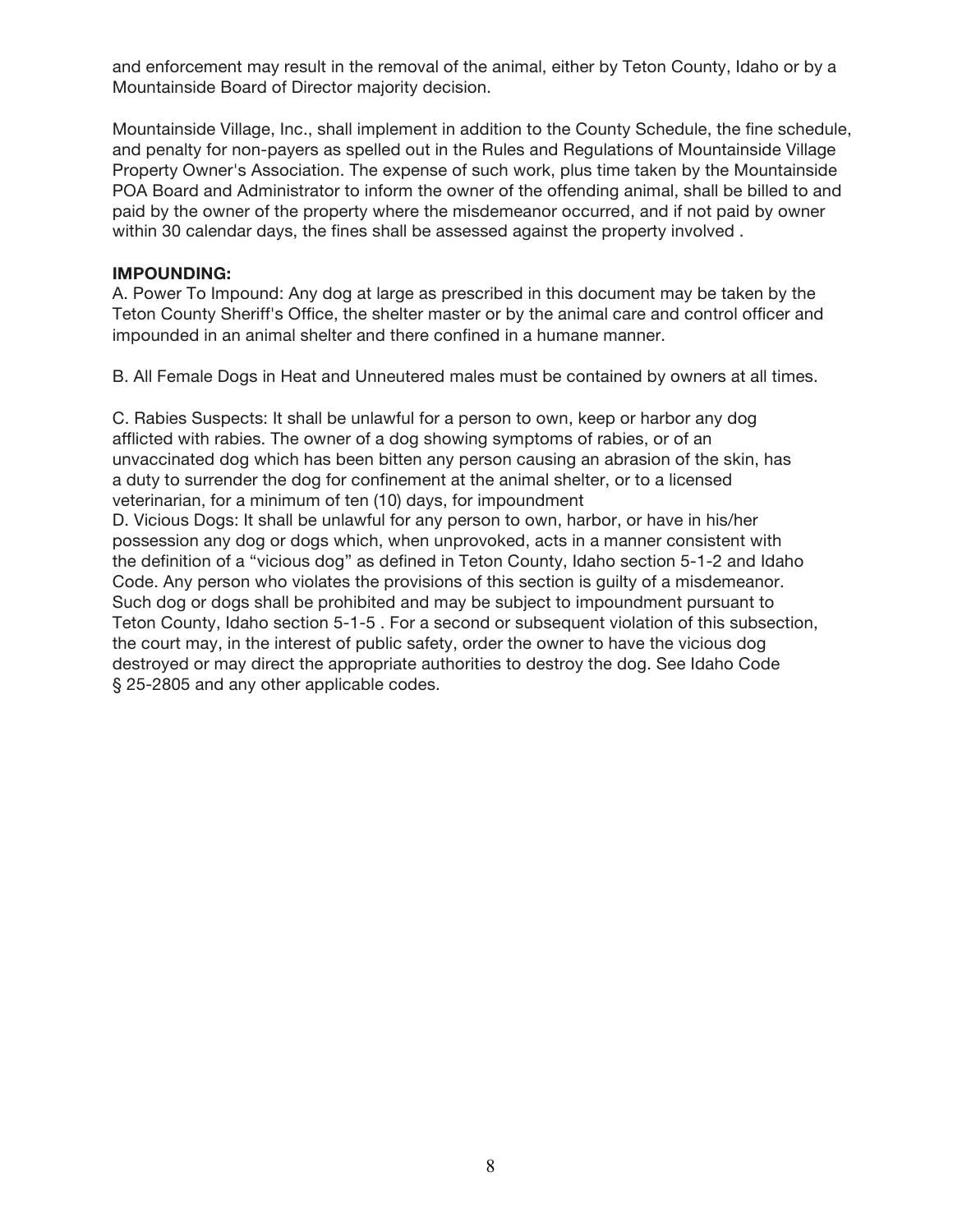and enforcement may result in the removal of the animal, either by Teton County, Idaho or by a Mountainside Board of Director majority decision.

Mountainside Village, Inc., shall implement in addition to the County Schedule, the fine schedule, and penalty for non-payers as spelled out in the Rules and Regulations of Mountainside Village Property Owner's Association. The expense of such work, plus time taken by the Mountainside POA Board and Administrator to inform the owner of the offending animal, shall be billed to and paid by the owner of the property where the misdemeanor occurred, and if not paid by owner within 30 calendar days, the fines shall be assessed against the property involved .

#### **IMPOUNDING:**

A. Power To Impound: Any dog at large as prescribed in this document may be taken by the Teton County Sheriff's Office, the shelter master or by the animal care and control officer and impounded in an animal shelter and there confined in a humane manner.

B. All Female Dogs in Heat and Unneutered males must be contained by owners at all times.

C. Rabies Suspects: It shall be unlawful for a person to own, keep or harbor any dog afflicted with rabies. The owner of a dog showing symptoms of rabies, or of an unvaccinated dog which has been bitten any person causing an abrasion of the skin, has a duty to surrender the dog for confinement at the animal shelter, or to a licensed veterinarian, for a minimum of ten (10) days, for impoundment D. Vicious Dogs: It shall be unlawful for any person to own, harbor, or have in his/her possession any dog or dogs which, when unprovoked, acts in a manner consistent with the definition of a "vicious dog" as defined in Teton County, Idaho section 5‐1‐2 and Idaho Code. Any person who violates the provisions of this section is guilty of a misdemeanor. Such dog or dogs shall be prohibited and may be subject to impoundment pursuant to Teton County, Idaho section 5‐1‐5 . For a second or subsequent violation of this subsection, the court may, in the interest of public safety, order the owner to have the vicious dog destroyed or may direct the appropriate authorities to destroy the dog. See Idaho Code § 25-2805 and any other applicable codes.